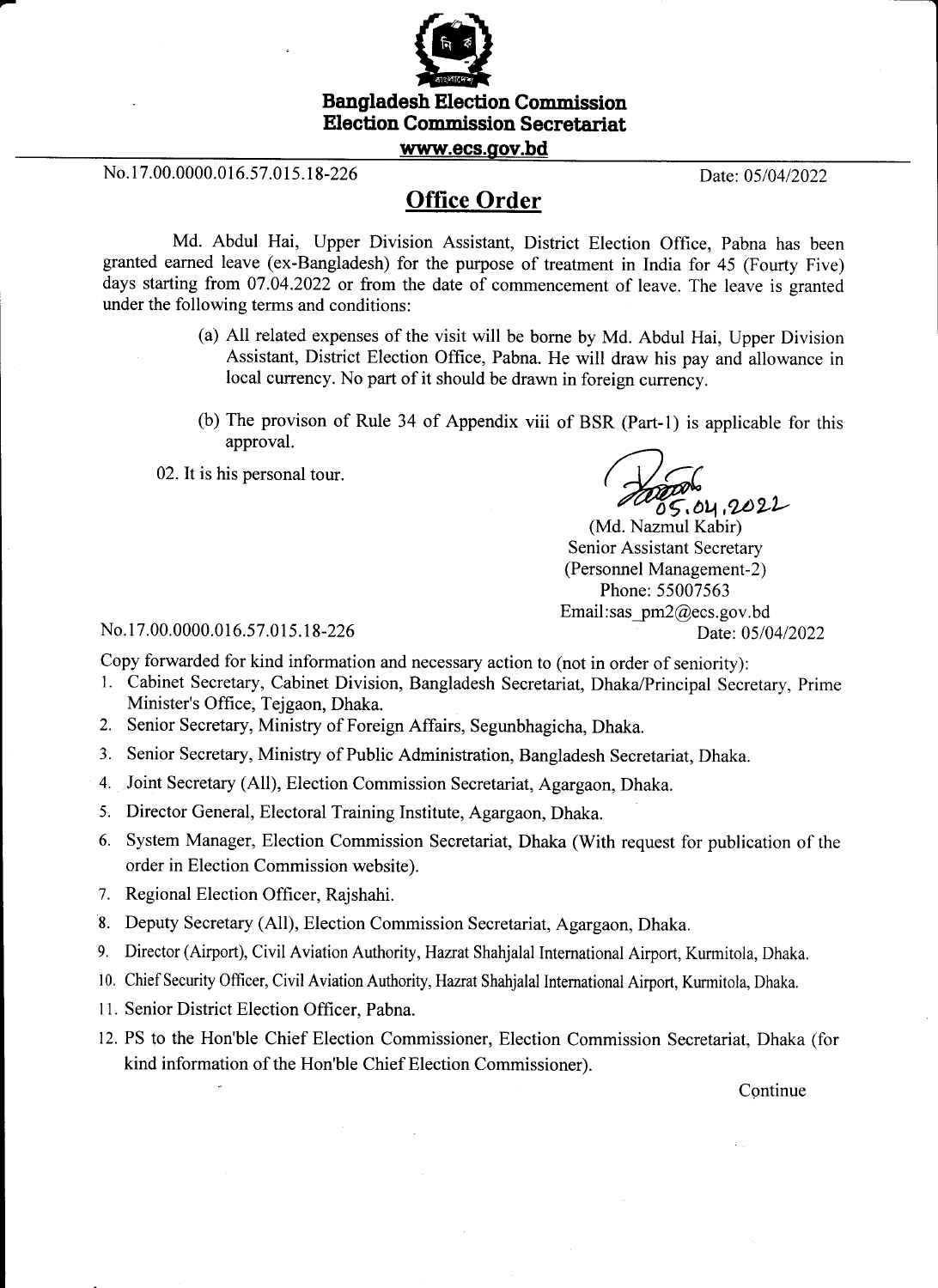

**Election Commission Secretariat** 

www.ecs.oov.bd

No. 17.00.0000.016.57.015.18-226 Date: 05/04/2022

## **Office Order**

Md. Abdul Hai, Upper Division Assistant, District Election Office, Pabna has been granted earned leave (ex-Bangladesh) for the purpose of treatment in India for 45 (Fourty Five) days starting from 07.04.2022 or from the date of commencement of leave. The leave is granted under the following terms and conditions:

- (a) All related expenses of the visit will be borne by Md. Abdul Hai, Upper Division Assistant, District Election Office, Pabna. He will draw his pay and allowance in local currency. No part of it should be drawn in foreign currency.
- (b) The provison of Rule 34 of Appendix viii of BSR (Part-1) is applicable for this approval.
- 02. It is his personal tour.

 $05.04.2022$ 

(Md. Nazmul Kabir) Senior Assistant Secretary (Personnel Management-2) Phone: 55007563 Email: sas  $pm2@ecs.gov.bd$ Date: 05/04/2022

No. 17.00.0000.016.57.015.18-226

Copy forwarded for kind information and necessary action to (not in order of seniority):

- 1. Cabinet Secretary, Cabinet Division, Bangladesh Secretariat, Dhaka/Principal Secretary, Prime Minister's Office, Tejgaon, Dhaka.
- 2. Senior Secretary, Ministry of Foreign Affairs, Segunbhagicha, Dhaka.
- 3. Senior Secretary, Ministry of Public Administration, Bangladesh Secretariat, Dhaka.
- 4. Joint Secretary (All), Election Commission Secretariat, Agargaon, Dhaka.
- 5. Director General, Electoral Training Institute, Agargaon, Dhaka.
- 6. System Manager, Election Commission Secretariat, Dhaka (With request for publication of the order in Election Commission website).
- 7. Regional Election Officer, Rajshahi.
- 8. Deputy Secretary (All), Election Commission Secretariat, Agargaon, Dhaka.
- 9. Director (Airport), Civil Aviation Authority, Hazrat Shahjalal International Airport, Kurmitola, Dhaka.
- 10. Chief Security Officer, Civil Aviation Authority, Hazrat Shahjalal International Airport, Kurmitola, Dhaka,
- 11. Senior District Election Officer, Pabna.
- 12. PS to the Hon'ble Chief Election Commissioner, Election Commission Secretariat, Dhaka (for kind information of the Hon'ble Chief Election Commissioner).

Continue